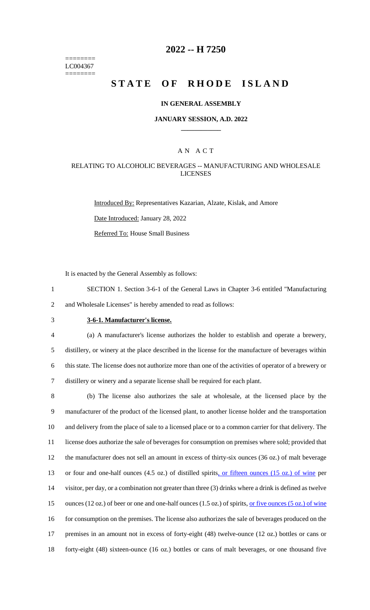======== LC004367 ========

# **2022 -- H 7250**

# **STATE OF RHODE ISLAND**

#### **IN GENERAL ASSEMBLY**

#### **JANUARY SESSION, A.D. 2022 \_\_\_\_\_\_\_\_\_\_\_\_**

### A N A C T

#### RELATING TO ALCOHOLIC BEVERAGES -- MANUFACTURING AND WHOLESALE LICENSES

Introduced By: Representatives Kazarian, Alzate, Kislak, and Amore Date Introduced: January 28, 2022 Referred To: House Small Business

It is enacted by the General Assembly as follows:

1 SECTION 1. Section 3-6-1 of the General Laws in Chapter 3-6 entitled "Manufacturing 2 and Wholesale Licenses" is hereby amended to read as follows:

# 3 **3-6-1. Manufacturer's license.**

 (a) A manufacturer's license authorizes the holder to establish and operate a brewery, distillery, or winery at the place described in the license for the manufacture of beverages within this state. The license does not authorize more than one of the activities of operator of a brewery or distillery or winery and a separate license shall be required for each plant.

 (b) The license also authorizes the sale at wholesale, at the licensed place by the manufacturer of the product of the licensed plant, to another license holder and the transportation and delivery from the place of sale to a licensed place or to a common carrier for that delivery. The license does authorize the sale of beverages for consumption on premises where sold; provided that the manufacturer does not sell an amount in excess of thirty-six ounces (36 oz.) of malt beverage or four and one-half ounces (4.5 oz.) of distilled spirits, or fifteen ounces (15 oz.) of wine per visitor, per day, or a combination not greater than three (3) drinks where a drink is defined as twelve 15 ounces (12 oz.) of beer or one and one-half ounces (1.5 oz.) of spirits, <u>or five ounces (5 oz.) of wine</u> for consumption on the premises. The license also authorizes the sale of beverages produced on the premises in an amount not in excess of forty-eight (48) twelve-ounce (12 oz.) bottles or cans or forty-eight (48) sixteen-ounce (16 oz.) bottles or cans of malt beverages, or one thousand five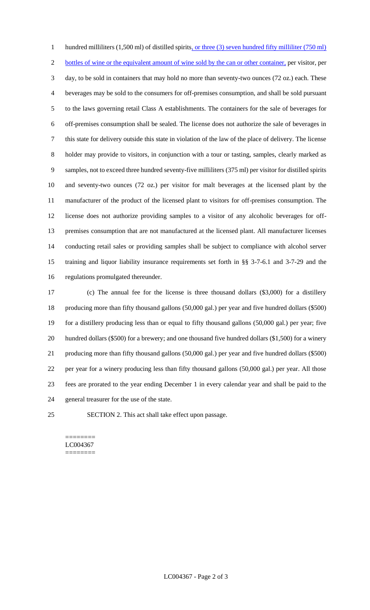1 hundred milliliters (1,500 ml) of distilled spirits, or three (3) seven hundred fifty milliliter (750 ml) 2 bottles of wine or the equivalent amount of wine sold by the can or other container, per visitor, per day, to be sold in containers that may hold no more than seventy-two ounces (72 oz.) each. These beverages may be sold to the consumers for off-premises consumption, and shall be sold pursuant to the laws governing retail Class A establishments. The containers for the sale of beverages for off-premises consumption shall be sealed. The license does not authorize the sale of beverages in this state for delivery outside this state in violation of the law of the place of delivery. The license holder may provide to visitors, in conjunction with a tour or tasting, samples, clearly marked as samples, not to exceed three hundred seventy-five milliliters (375 ml) per visitor for distilled spirits and seventy-two ounces (72 oz.) per visitor for malt beverages at the licensed plant by the manufacturer of the product of the licensed plant to visitors for off-premises consumption. The license does not authorize providing samples to a visitor of any alcoholic beverages for off- premises consumption that are not manufactured at the licensed plant. All manufacturer licenses conducting retail sales or providing samples shall be subject to compliance with alcohol server training and liquor liability insurance requirements set forth in §§ 3-7-6.1 and 3-7-29 and the regulations promulgated thereunder.

 (c) The annual fee for the license is three thousand dollars (\$3,000) for a distillery producing more than fifty thousand gallons (50,000 gal.) per year and five hundred dollars (\$500) for a distillery producing less than or equal to fifty thousand gallons (50,000 gal.) per year; five hundred dollars (\$500) for a brewery; and one thousand five hundred dollars (\$1,500) for a winery producing more than fifty thousand gallons (50,000 gal.) per year and five hundred dollars (\$500) per year for a winery producing less than fifty thousand gallons (50,000 gal.) per year. All those fees are prorated to the year ending December 1 in every calendar year and shall be paid to the general treasurer for the use of the state.

SECTION 2. This act shall take effect upon passage.

======== LC004367 ========